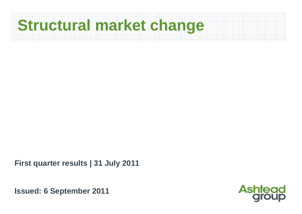

**First quarter results | 31 July 2011**

**Issued: 6 September 2011**

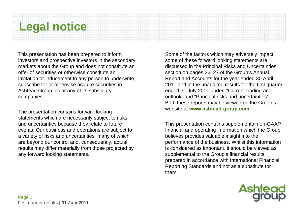## **Legal notice**

This presentation has been prepared to inform investors and prospective investors in the secondary markets about the Group and does not constitute an offer of securities or otherwise constitute an invitation or inducement to any person to underwrite, subscribe for or otherwise acquire securities in Ashtead Group plc or any of its subsidiary companies.

The presentation contains forward looking statements which are necessarily subject to risks and uncertainties because they relate to future events. Our business and operations are subject to a variety of risks and uncertainties, many of which are beyond our control and, consequently, actual results may differ materially from those projected by any forward looking statements.

Some of the factors which may adversely impact some of these forward looking statements are discussed in the Principal Risks and Uncertainties section on pages 26–27 of the Group's Annual Report and Accounts for the year ended 30 April 2011 and in the unaudited results for the first quarter ended 31 July 2011 under "Current trading and outlook" and "Principal risks and uncertainties". Both these reports may be viewed on the Group's website at **www.ashtead-group.com**

This presentation contains supplemental non-GAAP financial and operating information which the Group believes provides valuable insight into the performance of the business. Whilst this information is considered as important, it should be viewed as supplemental to the Group's financial results prepared in accordance with International Financial Reporting Standards and not as a substitute for them.

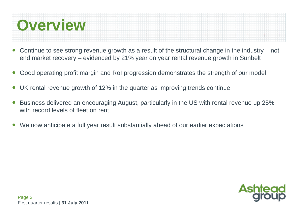

- ● Continue to see strong revenue growth as a result of the structural change in the industry – not end market recovery – evidenced by 21% year on year rental revenue growth in Sunbelt
- ●Good operating profit margin and RoI progression demonstrates the strength of our model
- ●UK rental revenue growth of 12% in the quarter as improving trends continue
- ● Business delivered an encouraging August, particularly in the US with rental revenue up 25% with record levels of fleet on rent
- ●We now anticipate a full year result substantially ahead of our earlier expectations

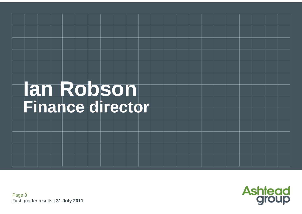# **Ian Robson Finance director**

Page 3 First quarter results | **31 July 2011**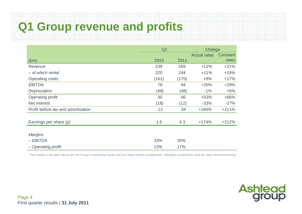## **Q1 Group revenue and profits**

|                                    | Q <sub>1</sub><br>Change |       |                     |          |  |
|------------------------------------|--------------------------|-------|---------------------|----------|--|
|                                    |                          |       | <b>Actual rates</b> | Constant |  |
| $(\text{Em})$                      | 2010                     | 2011  |                     | rates    |  |
| Revenue                            | 239                      | 269   | $+12%$              | $+21%$   |  |
| - of which rental                  | 220                      | 244   | $+11%$              | $+19%$   |  |
| <b>Operating costs</b>             | (161)                    | (175) | $+9%$               | $+17%$   |  |
| <b>EBITDA</b>                      | 78                       | 94    | $+20%$              | $+29%$   |  |
| Depreciation                       | (48)                     | (48)  | $-1\%$              | $+6%$    |  |
| Operating profit                   | 30                       | 46    | $+53%$              | $+66%$   |  |
| Net interest                       | (18)                     | (12)  | $-33%$              | $-27%$   |  |
| Profit before tax and amortisation | 12                       | 34    | $+184%$             | $+211%$  |  |
| Earnings per share (p)             | 1.6                      | 4.3   | $+174%$             | $+212%$  |  |
| <b>Margins</b>                     |                          |       |                     |          |  |
| $-EBITDA$                          | 33%                      | 35%   |                     |          |  |
| - Operating profit                 | 13%                      | 17%   |                     |          |  |

 $<sup>1</sup>$  The results in the table above are the Group's underlying results and are stated before exceptionals, intangible amortisation and fair value remeasurements</sup>

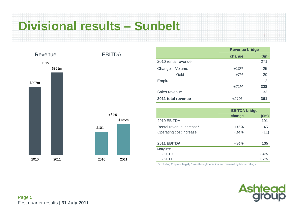# **Divisional results – Sunbelt**



|                     | <b>Revenue bridge</b> |       |  |
|---------------------|-----------------------|-------|--|
|                     | change                | \$m\$ |  |
| 2010 rental revenue |                       | 271   |  |
| Change - Volume     | $+10\%$               | 25    |  |
| - Yield             | $+7%$                 | 20    |  |
| Empire              |                       | 12    |  |
|                     | $+21%$                | 328   |  |
| Sales revenue       |                       | 33    |  |
| 2011 total revenue  | $+21%$                | 361   |  |

|                          | <b>EBITDA bridge</b> |       |
|--------------------------|----------------------|-------|
|                          | change               | \$m\$ |
| 2010 EBITDA              |                      | 101   |
| Rental revenue increase* | $+16%$               | 45    |
| Operating cost increase  | $+14%$               | (11)  |
| 2011 EBITDA              | $+34%$               | 135   |
| Margins:                 |                      |       |
| $-2010$                  |                      | 34%   |
| $-2011$                  |                      | 37%   |

\*excluding Empire's largely "pass through" erection and dismantling labour billings

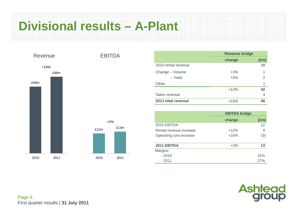## **Divisional results – A-Plant**

£13m



|                     | <b>Revenue bridge</b> |               |  |
|---------------------|-----------------------|---------------|--|
|                     | change                | $(\text{Em})$ |  |
| 2010 rental revenue |                       | 38            |  |
| Change - Volume     | $+3%$                 | 1             |  |
| – Yield             | $+5%$                 | 2             |  |
| Other               |                       | 1             |  |
|                     | $+12%$                | 42            |  |
| Sales revenue       |                       | 4             |  |
| 2011 total revenue  | $+16%$                | 46            |  |

|                         | <b>EBITDA bridge</b> |               |  |
|-------------------------|----------------------|---------------|--|
|                         | change               | $(\text{Em})$ |  |
| 2010 EBITDA             |                      | 12            |  |
| Rental revenue increase | $+12%$               | 4             |  |
| Operating cost increase | $+16%$               | (3)           |  |
| 2011 EBITDA             | $+3%$                | 13            |  |
| Margins:                |                      |               |  |
| $-2010$                 |                      | 31%           |  |
| $-2011$                 |                      | 27%           |  |

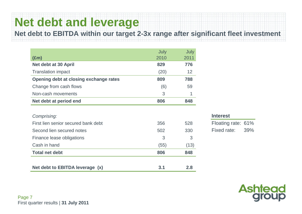## **Net debt and leverage**

**Net debt to EBITDA within our target 2-3x range after significant fleet investment**

|                                        | July | July |
|----------------------------------------|------|------|
| $(\text{Em})$                          | 2010 | 2011 |
| Net debt at 30 April                   | 829  | 776  |
| <b>Translation impact</b>              | (20) | 12   |
| Opening debt at closing exchange rates | 809  | 788  |
| Change from cash flows                 | (6)  | 59   |
| Non-cash movements                     | 3    |      |
| Net debt at period end                 | 806  | 848  |

| Net debt to EBITDA leverage (x)     | 3.1  | 2.8  |
|-------------------------------------|------|------|
| <b>Total net debt</b>               | 806  | 848  |
| Cash in hand                        | (55) | (13) |
| Finance lease obligations           | 3    | 3    |
| Second lien secured notes           | 502  | 330  |
| First lien senior secured bank debt | 356  | 528  |
| Comprising:                         |      |      |

#### **Interest**

Floating rate: 61% Fixed rate: 39%



Page 7 First quarter results | **31 July 2011**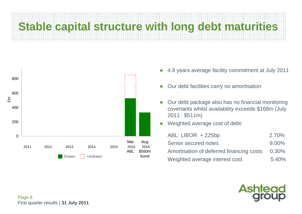# **Stable capital structure with long debt maturities**



- $\bullet$ 4.8 years average facility commitment at July 2011
- $\bullet$ Our debt facilities carry no amortisation
- $\bullet$  Our debt package also has no financial monitoring covenants whilst availability exceeds \$168m (July 2011 : \$511m)
- $\bullet$ Weighted average cost of debt:

| $ABL: LIBOR + 225bp$                     | 2.70%    |
|------------------------------------------|----------|
| Senior secured notes                     | $9.00\%$ |
| Amortisation of deferred financing costs | $0.30\%$ |
| Weighted average interest cost           | 5.40%    |

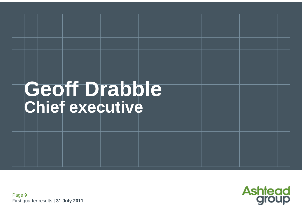# Geoff Drabble **Chief executive**

Page 9 First quarter results | **31 July 2011**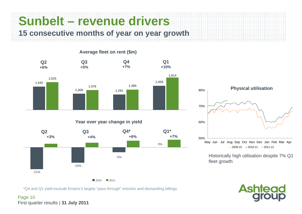**Sunbelt – revenue drivers 15 consecutive months of year on year growth**



**Average fleet on rent (\$m)**

 $2010$  2011

\*Q4 and Q1 yield exclude Empire's largely "pass through" erection and dismantling billings

Page 10 First quarter results | **31 July 2011**



Historically high utilisation despite 7% Q1 fleet growth

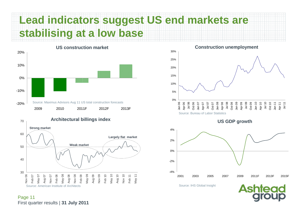### **Lead indicators suggest US end markets are stabilising at a low base**



30 4050 60 70 Nov 06 Feb 07 May 07 Aug 07 Nov 07 Feb 08 May 08 Aug 08 Nov 08 Feb 09 May 09 Aug 09 Nov 09 Feb 10 May 10 Aug 10 Nov 10 Feb 11 May 11 **Architectural billings index Strong market Weak market Largely flat market**

Source: American Institute of Architects

Page 11 First quarter results | **31 July 2011**

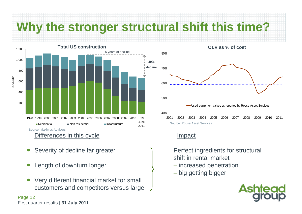**Why the stronger structural shift this time?**



- ●Severity of decline far greater
- ●Length of downturn longer
- ● Very different financial market for small customers and competitors versus large

### Page 12 First quarter results | **31 July 2011**



Source: Rouse Asset Services

### Impact

Perfect ingredients for structural shift in rental market

- increased penetration
- big getting bigger

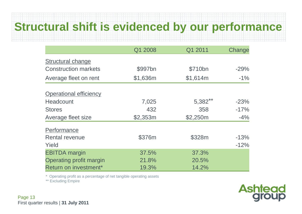### **Structural shift is evidenced by our performance**

|                                | Q1 2008  | Q1 2011    | Change |
|--------------------------------|----------|------------|--------|
| <b>Structural change</b>       |          |            |        |
| <b>Construction markets</b>    | \$997bn  | \$710bn    | $-29%$ |
| Average fleet on rent          | \$1,636m | \$1,614m   | $-1\%$ |
| <b>Operational efficiency</b>  |          |            |        |
| <b>Headcount</b>               | 7,025    | $5,382***$ | $-23%$ |
| <b>Stores</b>                  | 432      | 358        | $-17%$ |
| Average fleet size             | \$2,353m | \$2,250m   | $-4%$  |
| Performance                    |          |            |        |
| <b>Rental revenue</b>          | \$376m   | \$328m     | $-13%$ |
| Yield                          |          |            | $-12%$ |
| <b>EBITDA</b> margin           | 37.5%    | 37.3%      |        |
| <b>Operating profit margin</b> | 21.8%    | 20.5%      |        |
| Return on investment*          | 19.3%    | 14.2%      |        |

\* Operating profit as a percentage of net tangible operating assets

\*\* Excluding Empire

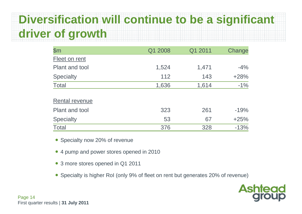## **Diversification will continue to be a significant driver of growth**

| $\mathsf{\$m}$        | Q1 2008 | Q1 2011 | Change |
|-----------------------|---------|---------|--------|
| Fleet on rent         |         |         |        |
| <b>Plant and tool</b> | 1,524   | 1,471   | $-4%$  |
| <b>Specialty</b>      | 112     | 143     | $+28%$ |
| <b>Total</b>          | 1,636   | 1,614   | $-1%$  |
| <b>Rental revenue</b> |         |         |        |
| Plant and tool        | 323     | 261     | $-19%$ |
| <b>Specialty</b>      | 53      | 67      | $+25%$ |
| <b>Total</b>          | 376     | 328     | $-13%$ |

- Specialty now 20% of revenue
- 4 pump and power stores opened in 2010
- 3 more stores opened in Q1 2011
- Specialty is higher RoI (only 9% of fleet on rent but generates 20% of revenue)

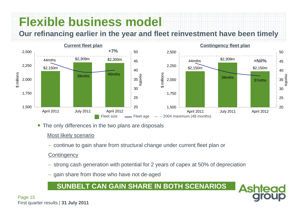## **Flexible business model**

**Our refinancing earlier in the year and fleet reinvestment have been timely**



• The only differences in the two plans are disposals

### Most likely scenario

– continue to gain share from structural change under current fleet plan or

#### **Contingency**

– strong cash generation with potential for 2 years of capex at 50% of depreciation

Δs

– gain share from those who have not de-aged

### **SUNBELT CAN GAIN SHARE IN BOTH SCENARIOS**

Page 15 First quarter results | **31 July 2011**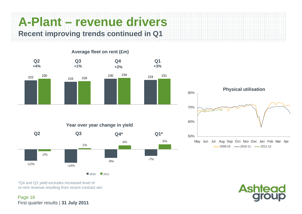**A-Plant – revenue drivers Recent improving trends continued in Q1**



### **Average fleet on rent (£m)**







\*Q4 and Q1 yield excludes increased level of re-rent revenue resulting from recent contract win

Page 16 First quarter results | **31 July 2011**



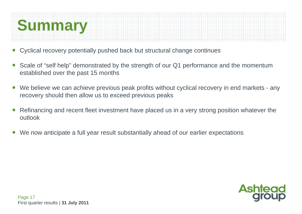

- ●Cyclical recovery potentially pushed back but structural change continues
- ● Scale of "self help" demonstrated by the strength of our Q1 performance and the momentum established over the past 15 months
- ●We believe we can achieve previous peak profits without cyclical recovery in end markets - any recovery should then allow us to exceed previous peaks
- ● Refinancing and recent fleet investment have placed us in a very strong position whatever the outlook
- ●We now anticipate a full year result substantially ahead of our earlier expectations

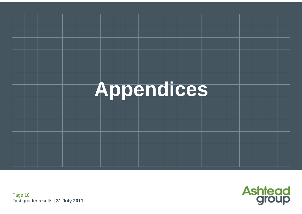



Page 18 First quarter results | **31 July 2011**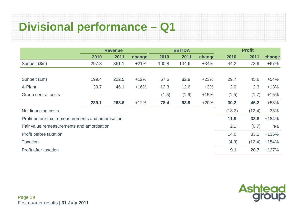## **Divisional performance – Q1**

|                                                    | <b>Revenue</b> |       |        | <b>EBITDA</b> |       |        | <b>Profit</b> |        |         |
|----------------------------------------------------|----------------|-------|--------|---------------|-------|--------|---------------|--------|---------|
|                                                    | 2010           | 2011  | change | 2010          | 2011  | change | 2010          | 2011   | change  |
| Sunbelt (\$m)                                      | 297.3          | 361.1 | $+21%$ | 100.8         | 134.6 | $+34%$ | 44.2          | 73.9   | $+67%$  |
|                                                    |                |       |        |               |       |        |               |        |         |
| Sunbelt (£m)                                       | 199.4          | 222.5 | $+12%$ | 67.6          | 82.9  | $+23%$ | 29.7          | 45.6   | $+54%$  |
| A-Plant                                            | 39.7           | 46.1  | $+16%$ | 12.3          | 12.6  | $+3%$  | 2.0           | 2.3    | $+13%$  |
| Group central costs                                |                |       |        | (1.5)         | (1.6) | $+15%$ | (1.5)         | (1.7)  | $+15%$  |
|                                                    | 239.1          | 268.6 | $+12%$ | 78.4          | 93.9  | $+20%$ | 30.2          | 46.2   | $+53%$  |
| Net financing costs                                |                |       |        |               |       |        | (18.3)        | (12.4) | $-33%$  |
| Profit before tax, remeasurements and amortisation |                |       |        |               |       |        | 11.9          | 33.8   | $+184%$ |
| Fair value remeasurements and amortisation         |                |       |        |               |       |        | 2.1           | (0.7)  | n/a     |
| Profit before taxation                             |                |       |        |               |       |        | 14.0          | 33.1   | +136%   |
| <b>Taxation</b>                                    |                |       |        |               |       |        | (4.9)         | (12.4) | $+154%$ |
| Profit after taxation                              |                |       |        |               |       |        | 9.1           | 20.7   | $+127%$ |

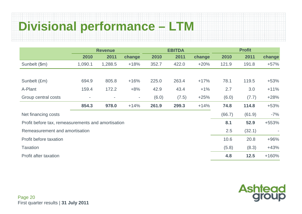# **Divisional performance – LTM**

|                                                    | <b>Revenue</b>           |                          |        | <b>EBITDA</b> |       |        | <b>Profit</b> |        |         |  |
|----------------------------------------------------|--------------------------|--------------------------|--------|---------------|-------|--------|---------------|--------|---------|--|
|                                                    | 2010                     | 2011                     | change | 2010          | 2011  | change | 2010          | 2011   | change  |  |
| Sunbelt (\$m)                                      | 1,090.1                  | 1,288.5                  | $+18%$ | 352.7         | 422.0 | $+20%$ | 121.9         | 191.8  | $+57%$  |  |
|                                                    |                          |                          |        |               |       |        |               |        |         |  |
| Sunbelt (£m)                                       | 694.9                    | 805.8                    | $+16%$ | 225.0         | 263.4 | $+17%$ | 78.1          | 119.5  | $+53%$  |  |
| A-Plant                                            | 159.4                    | 172.2                    | $+8%$  | 42.9          | 43.4  | $+1%$  | 2.7           | 3.0    | $+11%$  |  |
| Group central costs                                | $\overline{\phantom{a}}$ | $\overline{\phantom{a}}$ | $\sim$ | (6.0)         | (7.5) | $+25%$ | (6.0)         | (7.7)  | $+28%$  |  |
|                                                    | 854.3                    | 978.0                    | $+14%$ | 261.9         | 299.3 | $+14%$ | 74.8          | 114.8  | $+53%$  |  |
| Net financing costs                                |                          |                          |        |               |       |        | (66.7)        | (61.9) | $-7%$   |  |
| Profit before tax, remeasurements and amortisation |                          |                          |        |               |       |        | 8.1           | 52.9   | +553%   |  |
| Remeasurement and amortisation                     |                          |                          |        |               |       |        | 2.5           | (32.1) |         |  |
| Profit before taxation                             |                          |                          |        |               |       |        | 10.6          | 20.8   | $+96%$  |  |
| <b>Taxation</b>                                    |                          |                          |        |               |       |        | (5.8)         | (8.3)  | $+43%$  |  |
| Profit after taxation                              |                          |                          |        |               |       |        | 4.8           | $12.5$ | $+160%$ |  |

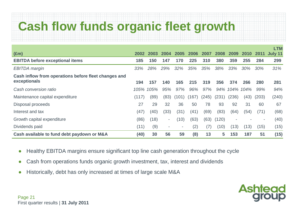# **Cash flow funds organic fleet growth**

|                                                      |       |      |      |                          |       |       |       |                          |           |       | LTM     |
|------------------------------------------------------|-------|------|------|--------------------------|-------|-------|-------|--------------------------|-----------|-------|---------|
| $(\text{Em})$                                        | 2002  | 2003 | 2004 | 2005                     | 2006  | 2007  | 2008  | 2009                     | 2010      | 2011  | July 11 |
| <b>EBITDA before exceptional items</b>               | 185   | 150  | 147  | 170                      | 225   | 310   | 380   | 359                      | 255       | 284   | 299     |
| <b>EBITDA</b> margin                                 | 33%   | 28%  | 29%  | $32\%$                   | 35%   | 35%   | 38%   | 33%                      | 30%       | 30%   | 31%     |
| Cash inflow from operations before fleet changes and |       |      |      |                          |       |       |       |                          |           |       |         |
| exceptionals                                         | 194   | 157  | 140  | 165                      | 215   | 319   | 356   | 374                      | 266       | 280   | 281     |
| Cash conversion ratio                                | 105%  | 105% | 95%  | 97%                      | 96%   | 97%   | 94%   |                          | 104% 104% | 99%   | 94%     |
| Maintenance capital expenditure                      | (117) | (89) | (83) | (101)                    | (167) | (245) | (231) | (236)                    | (43)      | (203) | (240)   |
| Disposal proceeds                                    | 27    | 29   | 32   | 36                       | 50    | 78    | 93    | 92                       | 31        | 60    | 67      |
| Interest and tax                                     | (47)  | (40) | (33) | (31)                     | (41)  | (69)  | (83)  | (64)                     | (54)      | (71)  | (68)    |
| Growth capital expenditure                           | (86)  | (18) | ٠    | (10)                     | (63)  | (63)  | (120) | $\overline{\phantom{a}}$ |           | ۰     | (40)    |
| Dividends paid                                       | (11)  | (9)  | ۰.   | $\overline{\phantom{a}}$ | (2)   | (7)   | (10)  | (13)                     | (13)      | (15)  | (15)    |
| Cash available to fund debt paydown or M&A           | (40)  | 30   | 56   | 59                       | (8)   | 13    | 5     | 153                      | 187       | 51    | (15)    |

- ●Healthy EBITDA margins ensure significant top line cash generation throughout the cycle
- $\bullet$ Cash from operations funds organic growth investment, tax, interest and dividends
- ●Historically, debt has only increased at times of large scale M&A